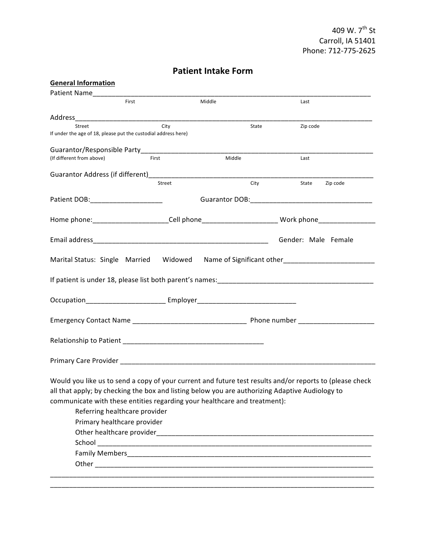## **Patient Intake Form**

| <b>General Information</b>                                                                      |                                                                |                                                                                  |                                                                                                           |  |
|-------------------------------------------------------------------------------------------------|----------------------------------------------------------------|----------------------------------------------------------------------------------|-----------------------------------------------------------------------------------------------------------|--|
| Patient Name_________                                                                           |                                                                |                                                                                  |                                                                                                           |  |
|                                                                                                 | First                                                          | Middle                                                                           | Last                                                                                                      |  |
|                                                                                                 |                                                                |                                                                                  |                                                                                                           |  |
| Street                                                                                          | City                                                           | State                                                                            | Zip code                                                                                                  |  |
|                                                                                                 | If under the age of 18, please put the custodial address here) |                                                                                  |                                                                                                           |  |
|                                                                                                 | Guarantor/Responsible Party____________________________        |                                                                                  |                                                                                                           |  |
| (If different from above)                                                                       | First                                                          | Middle                                                                           | Last                                                                                                      |  |
|                                                                                                 |                                                                |                                                                                  |                                                                                                           |  |
|                                                                                                 |                                                                |                                                                                  |                                                                                                           |  |
|                                                                                                 | Street                                                         |                                                                                  | City<br>Zip code<br>State                                                                                 |  |
| Patient DOB:_______________________                                                             |                                                                |                                                                                  |                                                                                                           |  |
|                                                                                                 |                                                                |                                                                                  |                                                                                                           |  |
|                                                                                                 |                                                                |                                                                                  | Home phone:_________________________Cell phone______________________________Work phone___________________ |  |
|                                                                                                 |                                                                |                                                                                  |                                                                                                           |  |
|                                                                                                 |                                                                |                                                                                  | Gender: Male Female                                                                                       |  |
|                                                                                                 |                                                                |                                                                                  |                                                                                                           |  |
|                                                                                                 |                                                                |                                                                                  | Marital Status: Single Married Widowed Name of Significant other_________________                         |  |
|                                                                                                 |                                                                |                                                                                  |                                                                                                           |  |
|                                                                                                 |                                                                |                                                                                  |                                                                                                           |  |
|                                                                                                 |                                                                |                                                                                  |                                                                                                           |  |
|                                                                                                 |                                                                | Occupation_______________________________ Employer______________________________ |                                                                                                           |  |
|                                                                                                 |                                                                |                                                                                  |                                                                                                           |  |
|                                                                                                 |                                                                |                                                                                  |                                                                                                           |  |
|                                                                                                 |                                                                |                                                                                  |                                                                                                           |  |
|                                                                                                 |                                                                |                                                                                  |                                                                                                           |  |
|                                                                                                 |                                                                |                                                                                  |                                                                                                           |  |
|                                                                                                 |                                                                |                                                                                  |                                                                                                           |  |
|                                                                                                 |                                                                |                                                                                  |                                                                                                           |  |
|                                                                                                 |                                                                |                                                                                  | Would you like us to send a copy of your current and future test results and/or reports to (please check  |  |
| all that apply; by checking the box and listing below you are authorizing Adaptive Audiology to |                                                                |                                                                                  |                                                                                                           |  |
|                                                                                                 |                                                                | communicate with these entities regarding your healthcare and treatment):        |                                                                                                           |  |
| Referring healthcare provider                                                                   |                                                                |                                                                                  |                                                                                                           |  |
| Primary healthcare provider                                                                     |                                                                |                                                                                  |                                                                                                           |  |
|                                                                                                 |                                                                |                                                                                  |                                                                                                           |  |
|                                                                                                 |                                                                |                                                                                  |                                                                                                           |  |
|                                                                                                 |                                                                |                                                                                  |                                                                                                           |  |
|                                                                                                 |                                                                |                                                                                  |                                                                                                           |  |
|                                                                                                 |                                                                |                                                                                  |                                                                                                           |  |
|                                                                                                 |                                                                |                                                                                  |                                                                                                           |  |
|                                                                                                 |                                                                |                                                                                  |                                                                                                           |  |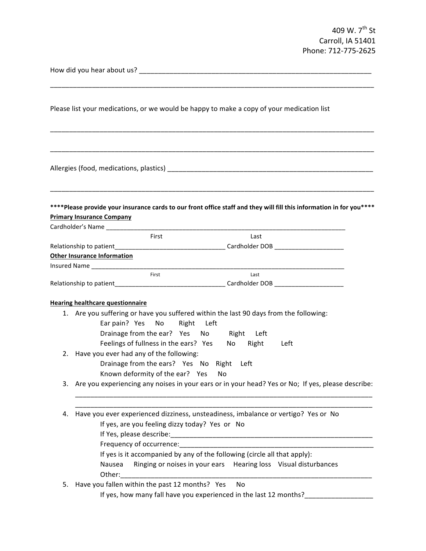409 W. 7<sup>th</sup> St Carroll, IA 51401 Phone: 712-775-2625

How did you hear about us? \_\_\_\_\_\_\_\_\_\_\_\_\_\_\_\_\_\_\_\_\_\_\_\_\_\_\_\_\_\_\_\_\_\_\_\_\_\_\_\_\_\_\_\_\_\_\_\_\_\_\_\_\_\_\_\_\_\_\_\_\_

Please list your medications, or we would be happy to make a copy of your medication list

Allergies (food, medications, plastics) \_\_\_\_\_\_\_\_\_\_\_\_\_\_\_\_\_\_\_\_\_\_\_\_\_\_\_\_\_\_\_\_\_\_\_\_\_\_\_\_\_\_\_\_\_\_\_\_\_\_\_\_\_\_

\*\*\*\*Please provide your insurance cards to our front office staff and they will fill this information in for you\*\*\*\* **Primary Insurance Company** 

\_\_\_\_\_\_\_\_\_\_\_\_\_\_\_\_\_\_\_\_\_\_\_\_\_\_\_\_\_\_\_\_\_\_\_\_\_\_\_\_\_\_\_\_\_\_\_\_\_\_\_\_\_\_\_\_\_\_\_\_\_\_\_\_\_\_\_\_\_\_\_\_\_\_\_\_\_\_\_\_\_\_\_\_\_

\_\_\_\_\_\_\_\_\_\_\_\_\_\_\_\_\_\_\_\_\_\_\_\_\_\_\_\_\_\_\_\_\_\_\_\_\_\_\_\_\_\_\_\_\_\_\_\_\_\_\_\_\_\_\_\_\_\_\_\_\_\_\_\_\_\_\_\_\_\_\_\_\_\_\_\_\_\_\_\_\_\_\_\_\_

\_\_\_\_\_\_\_\_\_\_\_\_\_\_\_\_\_\_\_\_\_\_\_\_\_\_\_\_\_\_\_\_\_\_\_\_\_\_\_\_\_\_\_\_\_\_\_\_\_\_\_\_\_\_\_\_\_\_\_\_\_\_\_\_\_\_\_\_\_\_\_\_\_\_\_\_\_\_\_\_\_\_\_\_\_

\_\_\_\_\_\_\_\_\_\_\_\_\_\_\_\_\_\_\_\_\_\_\_\_\_\_\_\_\_\_\_\_\_\_\_\_\_\_\_\_\_\_\_\_\_\_\_\_\_\_\_\_\_\_\_\_\_\_\_\_\_\_\_\_\_\_\_\_\_\_\_\_\_\_\_\_\_\_\_\_\_\_\_\_\_

| Cardholder's Name                  |       |                |  |
|------------------------------------|-------|----------------|--|
|                                    | First | Last           |  |
| Relationship to patient            |       | Cardholder DOB |  |
| <b>Other Insurance Information</b> |       |                |  |
| <b>Insured Name</b>                |       |                |  |
|                                    | First | Last           |  |
| Relationship to patient            |       | Cardholder DOB |  |

## **Hearing healthcare questionnaire**

- 1. Are you suffering or have you suffered within the last 90 days from the following: Ear pain? Yes No Right Left
	- Drainage from the ear? Yes No Right Left
	- Feelings of fullness in the ears? Yes No Right Left
- 2. Have you ever had any of the following: Drainage from the ears? Yes No Right Left
	- Known deformity of the ear? Yes No
- 3. Are you experiencing any noises in your ears or in your head? Yes or No; If yes, please describe:

\_\_\_\_\_\_\_\_\_\_\_\_\_\_\_\_\_\_\_\_\_\_\_\_\_\_\_\_\_\_\_\_\_\_\_\_\_\_\_\_\_\_\_\_\_\_\_\_\_\_\_\_\_\_\_\_\_\_\_\_\_\_\_\_\_\_\_\_\_\_\_\_\_\_\_\_\_\_ \_\_\_\_\_\_\_\_\_\_\_\_\_\_\_\_\_\_\_\_\_\_\_\_\_\_\_\_\_\_\_\_\_\_\_\_\_\_\_\_\_\_\_\_\_\_\_\_\_\_\_\_\_\_\_\_\_\_\_\_\_\_\_\_\_\_\_\_\_\_\_\_\_\_\_\_\_\_

- 4. Have you ever experienced dizziness, unsteadiness, imbalance or vertigo? Yes or No
	- If yes, are you feeling dizzy today? Yes or No
	- If Yes, please describe:
	- Frequency of occurrence:\_\_\_\_\_\_\_\_\_\_\_\_\_\_\_\_\_\_\_\_\_\_\_\_\_\_\_\_\_\_\_\_\_\_\_\_\_\_\_\_\_\_\_\_\_\_\_\_\_\_\_
	- If yes is it accompanied by any of the following (circle all that apply):
	- Nausea Ringing or noises in your ears Hearing loss Visual disturbances Other:
- 5. Have you fallen within the past 12 months? Yes No If yes, how many fall have you experienced in the last 12 months?\_\_\_\_\_\_\_\_\_\_\_\_\_\_\_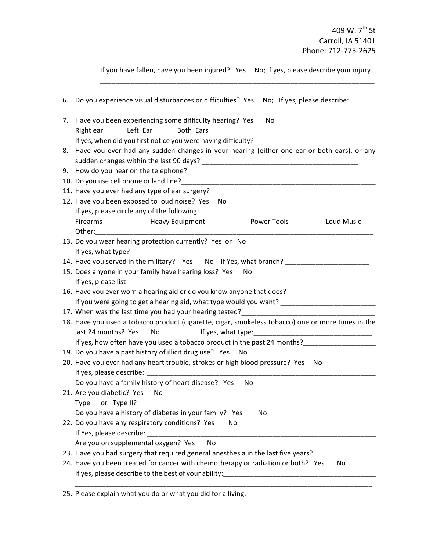If you have fallen, have you been injured? Yes No; If yes, please describe your injury \_\_\_\_\_\_\_\_\_\_\_\_\_\_\_\_\_\_\_\_\_\_\_\_\_\_\_\_\_\_\_\_\_\_\_\_\_\_\_\_\_\_\_\_\_\_\_\_\_\_\_\_\_\_\_\_\_\_\_\_\_\_\_\_\_\_\_\_\_\_\_\_

|    | 6. Do you experience visual disturbances or difficulties? Yes No; If yes, please describe:                                    |
|----|-------------------------------------------------------------------------------------------------------------------------------|
| 7. | Have you been experiencing some difficulty hearing? Yes<br>No<br>Left Ear<br>Both Ears<br>Right ear                           |
|    | If yes, when did you first notice you were having difficulty?                                                                 |
| 8. | Have you ever had any sudden changes in your hearing (either one ear or both ears), or any                                    |
|    |                                                                                                                               |
|    | 10. Do you use cell phone or land line?<br>10. Do you use cell phone or land line?<br>20. Do you use cell phone or land line? |
|    | 11. Have you ever had any type of ear surgery?                                                                                |
|    | 12. Have you been exposed to loud noise? Yes<br>No                                                                            |
|    | If yes, please circle any of the following:                                                                                   |
|    | Power Tools<br>Loud Music<br>Firearms Heavy Equipment                                                                         |
|    |                                                                                                                               |
|    | 13. Do you wear hearing protection currently? Yes or No                                                                       |
|    |                                                                                                                               |
|    | 14. Have you served in the military? Yes No If Yes, what branch?                                                              |
|    | 15. Does anyone in your family have hearing loss? Yes No                                                                      |
|    |                                                                                                                               |
|    | 16. Have you ever worn a hearing aid or do you know anyone that does? ______________________________                          |
|    | If you were going to get a hearing aid, what type would you want? _________________________________                           |
|    |                                                                                                                               |
|    | 18. Have you used a tobacco product (cigarette, cigar, smokeless tobacco) one or more times in the                            |
|    | last 24 months? Yes<br>No                                                                                                     |
|    |                                                                                                                               |
|    | 19. Do you have a past history of illicit drug use? Yes<br>No                                                                 |
|    | 20. Have you ever had any heart trouble, strokes or high blood pressure? Yes<br>No                                            |
|    |                                                                                                                               |
|    | Do you have a family history of heart disease? Yes<br>No                                                                      |
|    | 21. Are you diabetic? Yes<br>No                                                                                               |
|    | Type I or Type II?                                                                                                            |
|    | Do you have a history of diabetes in your family? Yes<br>No                                                                   |
|    | 22. Do you have any respiratory conditions? Yes<br>No.                                                                        |
|    |                                                                                                                               |
|    | <b>No</b><br>Are you on supplemental oxygen? Yes                                                                              |
|    | 23. Have you had surgery that required general anesthesia in the last five years?                                             |
|    | 24. Have you been treated for cancer with chemotherapy or radiation or both? Yes<br>No                                        |
|    |                                                                                                                               |
|    | 25. Please explain what you do or what you did for a living.                                                                  |